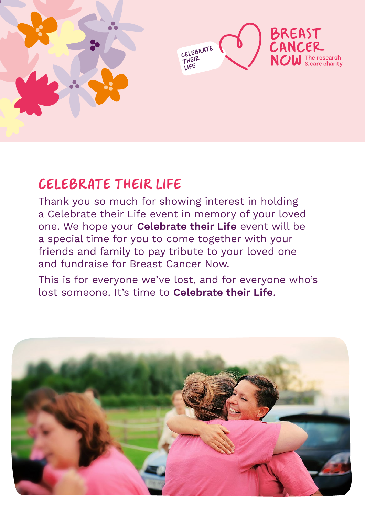



# CELEBRATE THEIR LIFE

Thank you so much for showing interest in holding a Celebrate their Life event in memory of your loved one. We hope your **Celebrate their Life** event will be a special time for you to come together with your friends and family to pay tribute to your loved one and fundraise for Breast Cancer Now.

This is for everyone we've lost, and for everyone who's lost someone. It's time to **Celebrate their Life**.

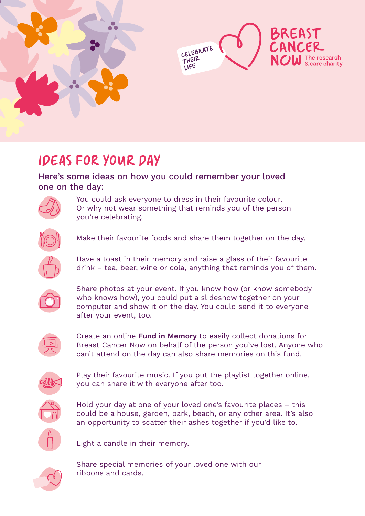



# IDEAS FOR YOUR DAY

#### Here's some ideas on how you could remember your loved one on the day:



You could ask everyone to dress in their favourite colour. Or why not wear something that reminds you of the person you're celebrating.



Make their favourite foods and share them together on the day.



Have a toast in their memory and raise a glass of their favourite drink – tea, beer, wine or cola, anything that reminds you of them.



Share photos at your event. If you know how (or know somebody who knows how), you could put a slideshow together on your computer and show it on the day. You could send it to everyone after your event, too.



Create an online **[Fund in Memory](https://inmemory.breastcancernow.org/)** to easily collect donations for Breast Cancer Now on behalf of the person you've lost. Anyone who can't attend on the day can also share memories on this fund.



Play their favourite music. If you put the playlist together online, you can share it with everyone after too.



Hold your day at one of your loved one's favourite places – this could be a house, garden, park, beach, or any other area. It's also an opportunity to scatter their ashes together if you'd like to.



Light a candle in their memory.



Share special memories of your loved one with our ribbons and cards.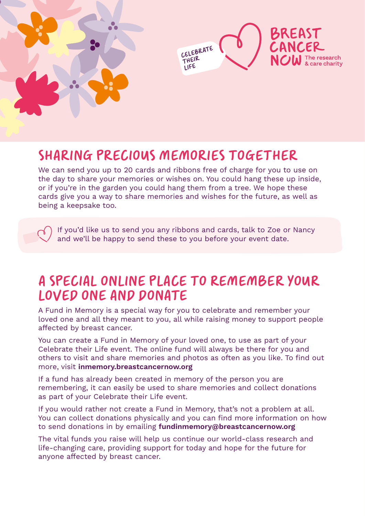



## SHARING PRECIOUS MEMORIES TOGETHER

We can send you up to 20 cards and ribbons free of charge for you to use on the day to share your memories or wishes on. You could hang these up inside, or if you're in the garden you could hang them from a tree. We hope these cards give you a way to share memories and wishes for the future, as well as being a keepsake too.

If you'd like us to send you any ribbons and cards, talk to Zoe or Nancy and we'll be happy to send these to you before your event date.

### A SPECIAL ONLINE PLACE TO REMEMBER YOUR LOVED ONE AND DONATE

A Fund in Memory is a special way for you to celebrate and remember your loved one and all they meant to you, all while raising money to support people affected by breast cancer.

You can create a Fund in Memory of your loved one, to use as part of your Celebrate their Life event. The online fund will always be there for you and others to visit and share memories and photos as often as you like. To find out more, visit **[inmemory.breastcancernow.org](https://inmemory.breastcancernow.org/)**

If a fund has already been created in memory of the person you are remembering, it can easily be used to share memories and collect donations as part of your Celebrate their Life event.

If you would rather not create a Fund in Memory, that's not a problem at all. You can collect donations physically and you can find more information on how to send donations in by emailing **[fundinmemory@breastcancernow.org](mailto:fundinmemory%40breastcancernow.org%20?subject=Celebrate%20their%20Life)**

[The vital funds you raise will help us continue our world-class research and](mailto:fundinmemory%40breastcancernow.org%20?subject=Celebrate%20their%20Life)  [life-changing care, providing support for today and hope for the future for](mailto:fundinmemory%40breastcancernow.org%20?subject=Celebrate%20their%20Life)  [anyone affected by breast cancer.](mailto:fundinmemory%40breastcancernow.org%20?subject=Celebrate%20their%20Life)